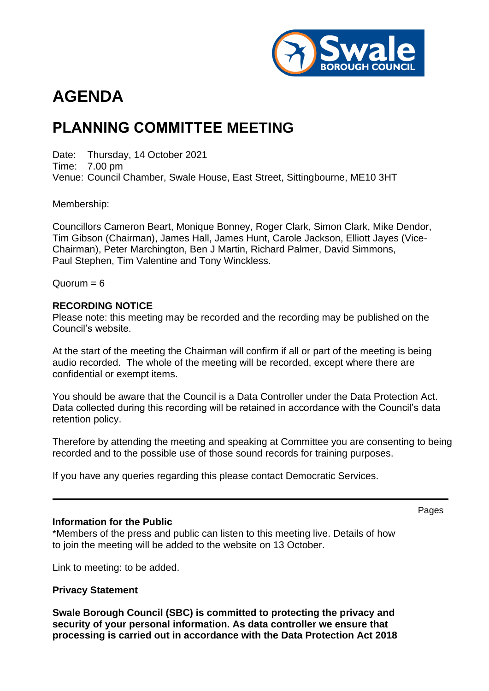

# **AGENDA**

## **PLANNING COMMITTEE MEETING**

Date: Thursday, 14 October 2021 Time: 7.00 pm Venue: Council Chamber, Swale House, East Street, Sittingbourne, ME10 3HT

Membership:

Councillors Cameron Beart, Monique Bonney, Roger Clark, Simon Clark, Mike Dendor, Tim Gibson (Chairman), James Hall, James Hunt, Carole Jackson, Elliott Jayes (Vice-Chairman), Peter Marchington, Ben J Martin, Richard Palmer, David Simmons, Paul Stephen, Tim Valentine and Tony Winckless.

 $Quorum = 6$ 

#### **RECORDING NOTICE**

Please note: this meeting may be recorded and the recording may be published on the Council's website.

At the start of the meeting the Chairman will confirm if all or part of the meeting is being audio recorded. The whole of the meeting will be recorded, except where there are confidential or exempt items.

You should be aware that the Council is a Data Controller under the Data Protection Act. Data collected during this recording will be retained in accordance with the Council's data retention policy.

Therefore by attending the meeting and speaking at Committee you are consenting to being recorded and to the possible use of those sound records for training purposes.

If you have any queries regarding this please contact Democratic Services.

#### **Information for the Public**

\*Members of the press and public can listen to this meeting live. Details of how to join the meeting will be added to the website on 13 October.

Link to meeting: to be added.

#### **Privacy Statement**

**Swale Borough Council (SBC) is committed to protecting the privacy and security of your personal information. As data controller we ensure that processing is carried out in accordance with the Data Protection Act 2018**  Pages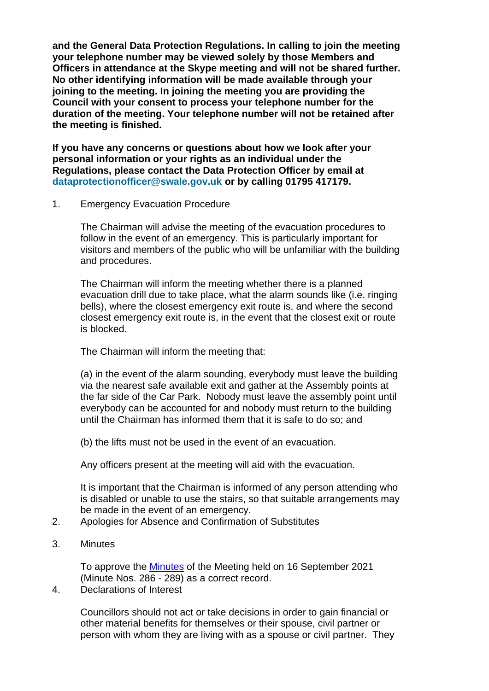**and the General Data Protection Regulations. In calling to join the meeting your telephone number may be viewed solely by those Members and Officers in attendance at the Skype meeting and will not be shared further. No other identifying information will be made available through your joining to the meeting. In joining the meeting you are providing the Council with your consent to process your telephone number for the duration of the meeting. Your telephone number will not be retained after the meeting is finished.**

**If you have any concerns or questions about how we look after your personal information or your rights as an individual under the Regulations, please contact the Data Protection Officer by email at dataprotectionofficer@swale.gov.uk or by calling 01795 417179.**

1. Emergency Evacuation Procedure

The Chairman will advise the meeting of the evacuation procedures to follow in the event of an emergency. This is particularly important for visitors and members of the public who will be unfamiliar with the building and procedures.

The Chairman will inform the meeting whether there is a planned evacuation drill due to take place, what the alarm sounds like (i.e. ringing bells), where the closest emergency exit route is, and where the second closest emergency exit route is, in the event that the closest exit or route is blocked.

#### The Chairman will inform the meeting that:

(a) in the event of the alarm sounding, everybody must leave the building via the nearest safe available exit and gather at the Assembly points at the far side of the Car Park. Nobody must leave the assembly point until everybody can be accounted for and nobody must return to the building until the Chairman has informed them that it is safe to do so; and

(b) the lifts must not be used in the event of an evacuation.

Any officers present at the meeting will aid with the evacuation.

It is important that the Chairman is informed of any person attending who is disabled or unable to use the stairs, so that suitable arrangements may be made in the event of an emergency.

- 2. Apologies for Absence and Confirmation of Substitutes
- 3. Minutes

To approve the [Minutes](https://services.swale.gov.uk/meetings/ieListDocuments.aspx?CId=130&MId=3517&Ver=4) of the Meeting held on 16 September 2021 (Minute Nos. 286 - 289) as a correct record.

4. Declarations of Interest

Councillors should not act or take decisions in order to gain financial or other material benefits for themselves or their spouse, civil partner or person with whom they are living with as a spouse or civil partner. They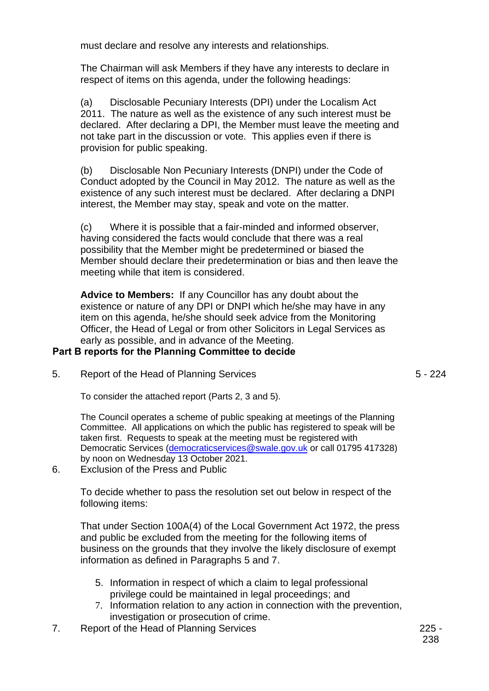must declare and resolve any interests and relationships.

The Chairman will ask Members if they have any interests to declare in respect of items on this agenda, under the following headings:

(a) Disclosable Pecuniary Interests (DPI) under the Localism Act 2011. The nature as well as the existence of any such interest must be declared. After declaring a DPI, the Member must leave the meeting and not take part in the discussion or vote. This applies even if there is provision for public speaking.

(b) Disclosable Non Pecuniary Interests (DNPI) under the Code of Conduct adopted by the Council in May 2012. The nature as well as the existence of any such interest must be declared. After declaring a DNPI interest, the Member may stay, speak and vote on the matter.

(c) Where it is possible that a fair-minded and informed observer, having considered the facts would conclude that there was a real possibility that the Member might be predetermined or biased the Member should declare their predetermination or bias and then leave the meeting while that item is considered.

**Advice to Members:** If any Councillor has any doubt about the existence or nature of any DPI or DNPI which he/she may have in any item on this agenda, he/she should seek advice from the Monitoring Officer, the Head of Legal or from other Solicitors in Legal Services as early as possible, and in advance of the Meeting.

#### **Part B reports for the Planning Committee to decide**

5. Report of the Head of Planning Services

To consider the attached report (Parts 2, 3 and 5).

The Council operates a scheme of public speaking at meetings of the Planning Committee. All applications on which the public has registered to speak will be taken first. Requests to speak at the meeting must be registered with Democratic Services [\(democraticservices@swale.gov.uk](mailto:democraticservices@swale.gov.uk) or call 01795 417328) by noon on Wednesday 13 October 2021.

6. Exclusion of the Press and Public

To decide whether to pass the resolution set out below in respect of the following items:

That under Section 100A(4) of the Local Government Act 1972, the press and public be excluded from the meeting for the following items of business on the grounds that they involve the likely disclosure of exempt information as defined in Paragraphs 5 and 7.

- 5. Information in respect of which a claim to legal professional privilege could be maintained in legal proceedings; and
- 7. Information relation to any action in connection with the prevention, investigation or prosecution of crime.
- 7. Report of the Head of Planning Services **225 -**

5 - 224